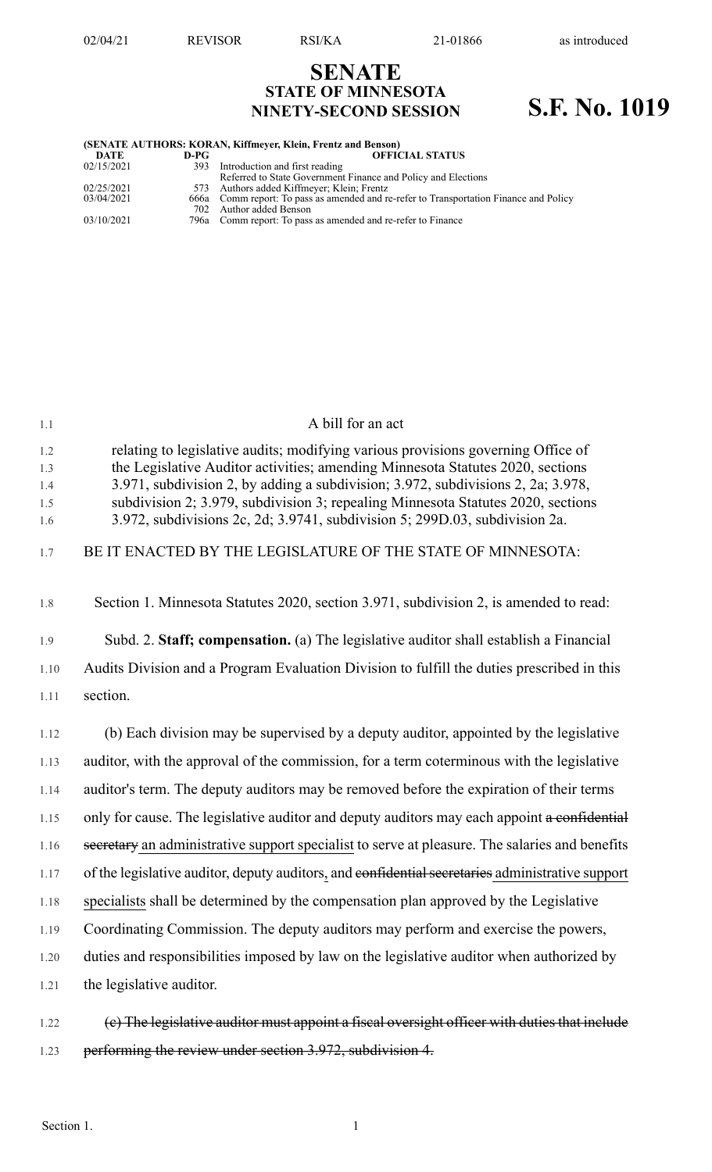# **SENATE STATE OF MINNESOTA NINETY-SECOND SESSION S.F. No. 1019**

| (SENATE AUTHORS: KORAN, Kiffmeyer, Klein, Frentz and Benson) |      |                                                                                        |  |  |  |  |
|--------------------------------------------------------------|------|----------------------------------------------------------------------------------------|--|--|--|--|
| DATE                                                         | D-PG | <b>OFFICIAL STATUS</b>                                                                 |  |  |  |  |
| 02/15/2021                                                   |      | 393 Introduction and first reading                                                     |  |  |  |  |
|                                                              |      | Referred to State Government Finance and Policy and Elections                          |  |  |  |  |
| 02/25/2021                                                   |      | 573 Authors added Kiffmeyer; Klein; Frentz                                             |  |  |  |  |
| 03/04/2021                                                   |      | 666a Comm report: To pass as amended and re-refer to Transportation Finance and Policy |  |  |  |  |
|                                                              |      | 702 Author added Benson                                                                |  |  |  |  |
| 03/10/2021                                                   |      | 796a Comm report: To pass as amended and re-refer to Finance                           |  |  |  |  |

| 1.1                             | A bill for an act                                                                                                                                                                                                                                                                                                                                                                                                         |
|---------------------------------|---------------------------------------------------------------------------------------------------------------------------------------------------------------------------------------------------------------------------------------------------------------------------------------------------------------------------------------------------------------------------------------------------------------------------|
| 1.2<br>1.3<br>1.4<br>1.5<br>1.6 | relating to legislative audits; modifying various provisions governing Office of<br>the Legislative Auditor activities; amending Minnesota Statutes 2020, sections<br>3.971, subdivision 2, by adding a subdivision; 3.972, subdivisions 2, 2a; 3.978,<br>subdivision 2; 3.979, subdivision 3; repealing Minnesota Statutes 2020, sections<br>3.972, subdivisions 2c, 2d; 3.9741, subdivision 5; 299D.03, subdivision 2a. |
| 1.7                             | BE IT ENACTED BY THE LEGISLATURE OF THE STATE OF MINNESOTA:                                                                                                                                                                                                                                                                                                                                                               |
| 1.8                             | Section 1. Minnesota Statutes 2020, section 3.971, subdivision 2, is amended to read:                                                                                                                                                                                                                                                                                                                                     |
| 1.9                             | Subd. 2. Staff; compensation. (a) The legislative auditor shall establish a Financial                                                                                                                                                                                                                                                                                                                                     |
| 1.10                            | Audits Division and a Program Evaluation Division to fulfill the duties prescribed in this                                                                                                                                                                                                                                                                                                                                |
| 1.11                            | section.                                                                                                                                                                                                                                                                                                                                                                                                                  |
| 1.12                            | (b) Each division may be supervised by a deputy auditor, appointed by the legislative                                                                                                                                                                                                                                                                                                                                     |
| 1.13                            | auditor, with the approval of the commission, for a term coterminous with the legislative                                                                                                                                                                                                                                                                                                                                 |
| 1.14                            | auditor's term. The deputy auditors may be removed before the expiration of their terms                                                                                                                                                                                                                                                                                                                                   |
| 1.15                            | only for cause. The legislative auditor and deputy auditors may each appoint a confidential                                                                                                                                                                                                                                                                                                                               |
| 1.16                            | secretary an administrative support specialist to serve at pleasure. The salaries and benefits                                                                                                                                                                                                                                                                                                                            |
| 1.17                            | of the legislative auditor, deputy auditors, and confidential secretaries administrative support                                                                                                                                                                                                                                                                                                                          |
| 1.18                            | specialists shall be determined by the compensation plan approved by the Legislative                                                                                                                                                                                                                                                                                                                                      |
| 1.19                            | Coordinating Commission. The deputy auditors may perform and exercise the powers,                                                                                                                                                                                                                                                                                                                                         |
| 1.20                            | duties and responsibilities imposed by law on the legislative auditor when authorized by                                                                                                                                                                                                                                                                                                                                  |
| 1.21                            | the legislative auditor.                                                                                                                                                                                                                                                                                                                                                                                                  |
| 1.22                            | (e) The legislative auditor must appoint a fiseal oversight officer with duties that inelude                                                                                                                                                                                                                                                                                                                              |

1.23 performing the review under section 3.972, subdivision 4.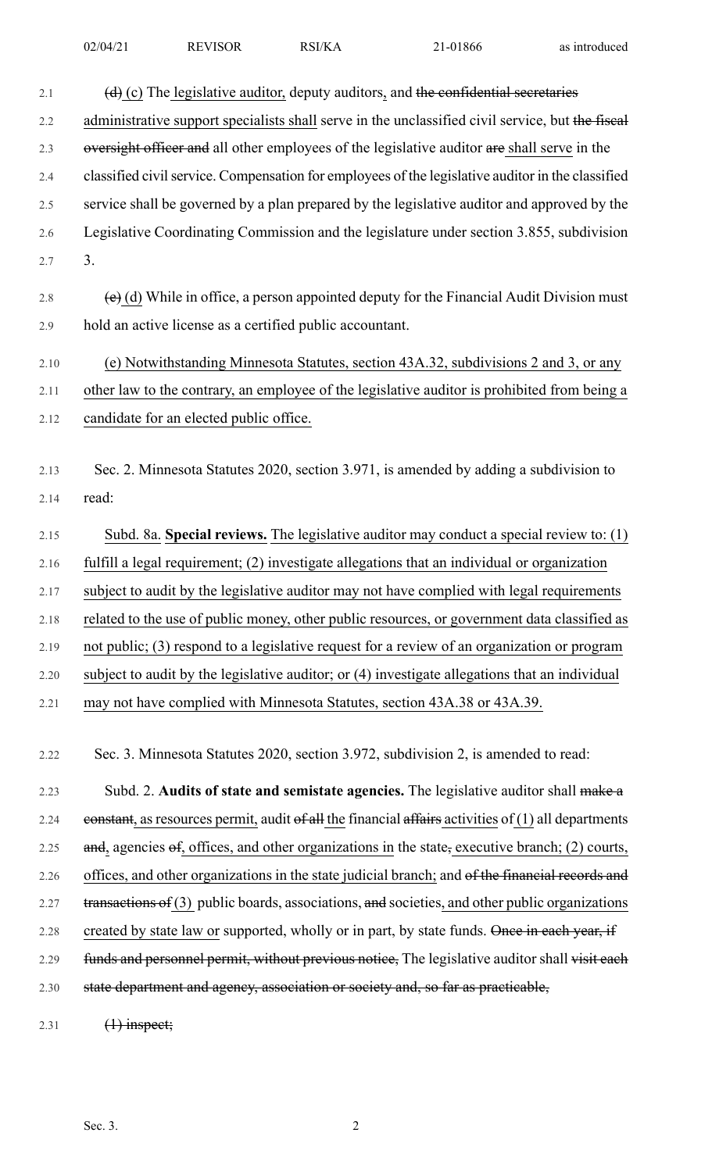| 2.1     | $(d)$ (c) The legislative auditor, deputy auditors, and the confidential secretaries                            |
|---------|-----------------------------------------------------------------------------------------------------------------|
| 2.2     | administrative support specialists shall serve in the unclassified civil service, but the fiscal                |
| 2.3     | oversight officer and all other employees of the legislative auditor are shall serve in the                     |
| 2.4     | classified civil service. Compensation for employees of the legislative auditor in the classified               |
| 2.5     | service shall be governed by a plan prepared by the legislative auditor and approved by the                     |
| 2.6     | Legislative Coordinating Commission and the legislature under section 3.855, subdivision                        |
| 2.7     | 3.                                                                                                              |
| $2.8\,$ | $\overline{e}$ (d) While in office, a person appointed deputy for the Financial Audit Division must             |
| 2.9     | hold an active license as a certified public accountant.                                                        |
| 2.10    | (e) Notwithstanding Minnesota Statutes, section 43A.32, subdivisions 2 and 3, or any                            |
| 2.11    | other law to the contrary, an employee of the legislative auditor is prohibited from being a                    |
| 2.12    | candidate for an elected public office.                                                                         |
|         |                                                                                                                 |
| 2.13    | Sec. 2. Minnesota Statutes 2020, section 3.971, is amended by adding a subdivision to                           |
| 2.14    | read:                                                                                                           |
| 2.15    | Subd. 8a. Special reviews. The legislative auditor may conduct a special review to: (1)                         |
| 2.16    | fulfill a legal requirement; (2) investigate allegations that an individual or organization                     |
| 2.17    | subject to audit by the legislative auditor may not have complied with legal requirements                       |
| 2.18    | related to the use of public money, other public resources, or government data classified as                    |
| 2.19    | not public; (3) respond to a legislative request for a review of an organization or program                     |
| 2.20    | subject to audit by the legislative auditor; or (4) investigate allegations that an individual                  |
| 2.21    | may not have complied with Minnesota Statutes, section 43A.38 or 43A.39.                                        |
|         |                                                                                                                 |
| 2.22    | Sec. 3. Minnesota Statutes 2020, section 3.972, subdivision 2, is amended to read:                              |
| 2.23    | Subd. 2. Audits of state and semistate agencies. The legislative auditor shall make a                           |
| 2.24    | eonstant, as resources permit, audit of all the financial affairs activities of $(1)$ all departments           |
| 2.25    | and, agencies $\Theta$ , offices, and other organizations in the state, executive branch; (2) courts,           |
| 2.26    | offices, and other organizations in the state judicial branch; and of the financial records and                 |
| 2.27    | $\frac{transactions}{\text{of (3)}}$ public boards, associations, and societies, and other public organizations |
| 2.28    | created by state law or supported, wholly or in part, by state funds. Once in each year, if                     |

2.29 funds and personnel permit, without previous notice, The legislative auditor shall visit each 2.30 state department and agency, association or society and, so far as practicable,

2.31 (1) inspect;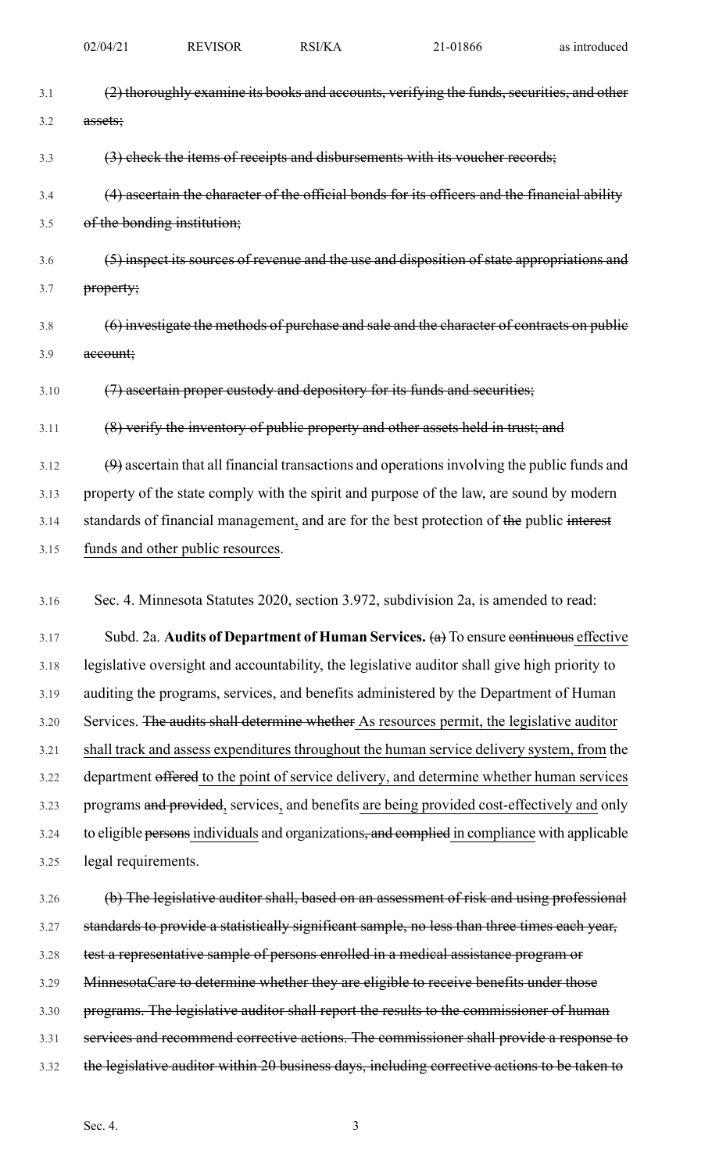| 3.1  | (2) thoroughly examine its books and accounts, verifying the funds, securities, and other     |
|------|-----------------------------------------------------------------------------------------------|
| 3.2  | assets;                                                                                       |
| 3.3  | (3) check the items of receipts and disbursements with its voucher records;                   |
| 3.4  | (4) ascertain the character of the official bonds for its officers and the financial ability  |
| 3.5  | of the bonding institution;                                                                   |
| 3.6  | (5) inspect its sources of revenue and the use and disposition of state appropriations and    |
| 3.7  | property;                                                                                     |
| 3.8  | (6) investigate the methods of purchase and sale and the character of contracts on public     |
| 3.9  | account;                                                                                      |
| 3.10 | (7) ascertain proper custody and depository for its funds and securities;                     |
| 3.11 | (8) verify the inventory of public property and other assets held in trust; and               |
| 3.12 | $(9)$ ascertain that all financial transactions and operations involving the public funds and |
| 3.13 | property of the state comply with the spirit and purpose of the law, are sound by modern      |
| 3.14 | standards of financial management, and are for the best protection of the public interest     |
| 3.15 | funds and other public resources.                                                             |
| 3.16 | Sec. 4. Minnesota Statutes 2020, section 3.972, subdivision 2a, is amended to read:           |
| 3.17 | Subd. 2a. Audits of Department of Human Services. $(a)$ To ensure continuous effective        |
| 3.18 | legislative oversight and accountability, the legislative auditor shall give high priority to |
| 3.19 | auditing the programs, services, and benefits administered by the Department of Human         |
| 3.20 | Services. The audits shall determine whether As resources permit, the legislative auditor     |
| 3.21 | shall track and assess expenditures throughout the human service delivery system, from the    |
| 3.22 | department offered to the point of service delivery, and determine whether human services     |
| 3.23 | programs and provided, services, and benefits are being provided cost-effectively and only    |
| 3.24 | to eligible persons individuals and organizations, and complied in compliance with applicable |
| 3.25 | legal requirements.                                                                           |
| 3.26 | (b) The legislative auditor shall, based on an assessment of risk and using professional      |
| 3.27 | standards to provide a statistically significant sample, no less than three times each year,  |
| 3.28 | test a representative sample of persons enrolled in a medical assistance program or           |
| 3.29 | MinnesotaCare to determine whether they are eligible to receive benefits under those          |

- 3.30 programs. The legislative auditor shall report the results to the commissioner of human
- 3.31 services and recommend corrective actions. The commissioner shall provide a response to
- 3.32 the legislative auditor within 20 business days, including corrective actions to be taken to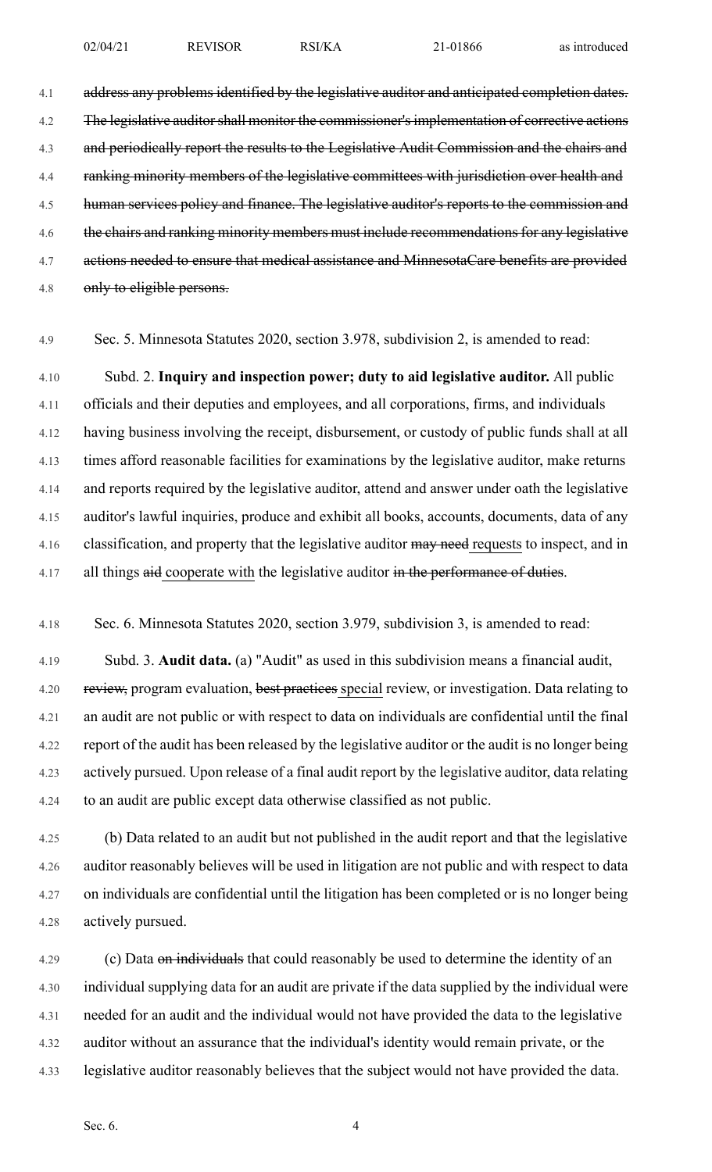4.1 address any problems identified by the legislative auditor and anticipated completion dates. 4.2 The legislative auditor shall monitor the commissioner's implementation of corrective actions 4.3 and periodically report the results to the Legislative Audit Commission and the chairs and 4.4 ranking minority members of the legislative committees with jurisdiction over health and 4.5 human services policy and finance. The legislative auditor's reports to the commission and 4.6 the chairs and ranking minority members must include recommendations for any legislative 4.7 actions needed to ensure that medical assistance and MinnesotaCare benefits are provided 4.8 only to eligible persons.

4.9 Sec. 5. Minnesota Statutes 2020, section 3.978, subdivision 2, is amended to read:

4.10 Subd. 2. **Inquiry and inspection power; duty to aid legislative auditor.** All public 4.11 officials and their deputies and employees, and all corporations, firms, and individuals 4.12 having business involving the receipt, disbursement, or custody of public funds shall at all 4.13 times afford reasonable facilities for examinations by the legislative auditor, make returns 4.14 and reports required by the legislative auditor, attend and answer under oath the legislative 4.15 auditor's lawful inquiries, produce and exhibit all books, accounts, documents, data of any 4.16 classification, and property that the legislative auditor may need requests to inspect, and in 4.17 all things aid cooperate with the legislative auditor in the performance of duties.

4.18 Sec. 6. Minnesota Statutes 2020, section 3.979, subdivision 3, is amended to read:

4.19 Subd. 3. **Audit data.** (a) "Audit" as used in this subdivision means a financial audit, 4.20 review, program evaluation, best practices special review, or investigation. Data relating to 4.21 an audit are not public or with respect to data on individuals are confidential until the final 4.22 report of the audit has been released by the legislative auditor or the audit is no longer being 4.23 actively pursued. Upon release of a final audit report by the legislative auditor, data relating 4.24 to an audit are public except data otherwise classified as not public.

4.25 (b) Data related to an audit but not published in the audit report and that the legislative 4.26 auditor reasonably believes will be used in litigation are not public and with respect to data 4.27 on individuals are confidential until the litigation has been completed or is no longer being 4.28 actively pursued.

4.29 (c) Data on individuals that could reasonably be used to determine the identity of an 4.30 individual supplying data for an audit are private if the data supplied by the individual were 4.31 needed for an audit and the individual would not have provided the data to the legislative 4.32 auditor without an assurance that the individual's identity would remain private, or the 4.33 legislative auditor reasonably believes that the subject would not have provided the data.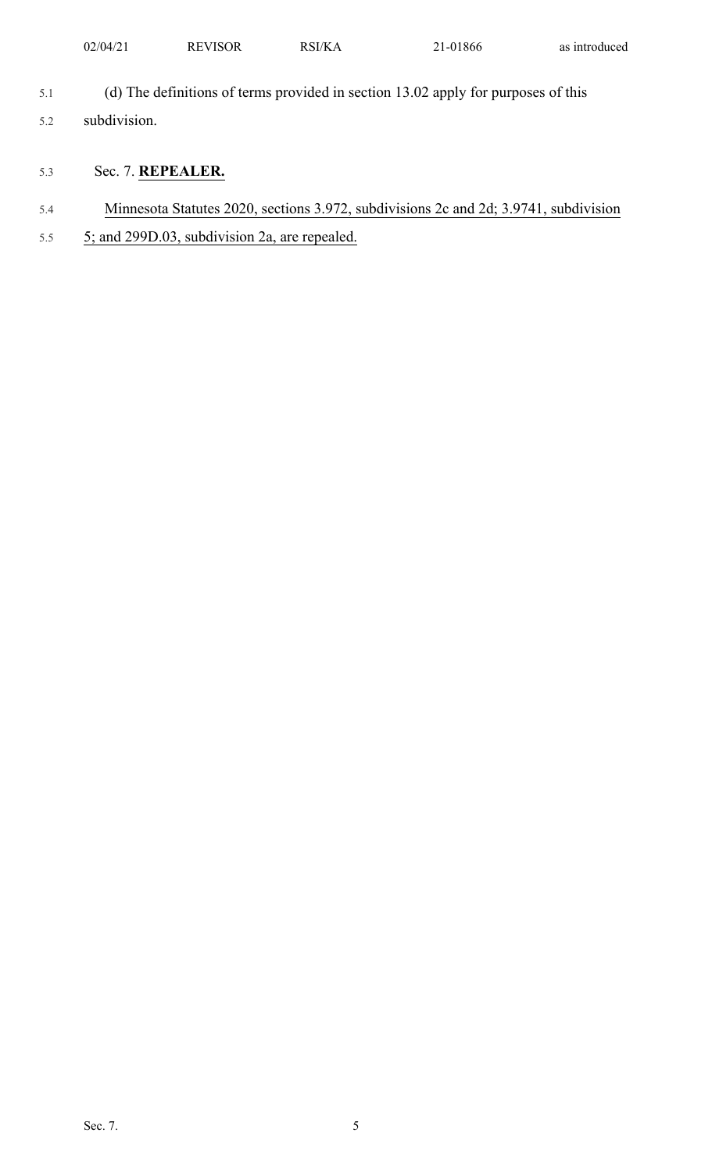| 02/04/21<br>the contract of the contract of | <b>REVISOR</b> | RSI/KA | 1-01866 | the contract of the contract of<br>as introduced |
|---------------------------------------------|----------------|--------|---------|--------------------------------------------------|
|                                             |                |        |         |                                                  |

- 5.1 (d) The definitions of terms provided in section 13.02 apply for purposes of this
- 5.2 subdivision.
- 5.3 Sec. 7. **REPEALER.**
- 5.4 Minnesota Statutes 2020, sections 3.972, subdivisions 2c and 2d; 3.9741, subdivision
- 5.5 5; and 299D.03, subdivision 2a, are repealed.